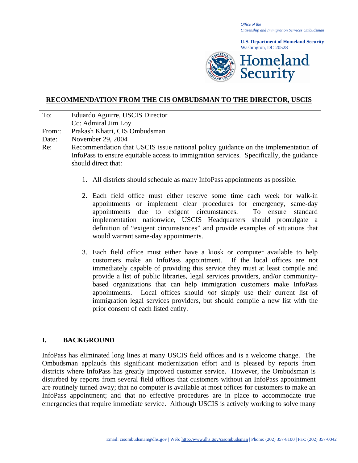*Office of the Citizenship and Immigration Services Ombudsman*

**U.S. Department of Homeland Security** Washington, DC 20528



# **RECOMMENDATION FROM THE CIS OMBUDSMAN TO THE DIRECTOR, USCIS**

- To: Eduardo Aguirre, USCIS Director
- Cc: Admiral Jim Loy
- From:: Prakash Khatri, CIS Ombudsman
- Date: November 29, 2004
- Re: Recommendation that USCIS issue national policy guidance on the implementation of InfoPass to ensure equitable access to immigration services. Specifically, the guidance should direct that:
	- 1. All districts should schedule as many InfoPass appointments as possible.
	- 2. Each field office must either reserve some time each week for walk-in appointments or implement clear procedures for emergency, same-day appointments due to exigent circumstances. To ensure standard implementation nationwide, USCIS Headquarters should promulgate a definition of "exigent circumstances" and provide examples of situations that would warrant same-day appointments.
	- 3. Each field office must either have a kiosk or computer available to help customers make an InfoPass appointment. If the local offices are not immediately capable of providing this service they must at least compile and provide a list of public libraries, legal services providers, and/or communitybased organizations that can help immigration customers make InfoPass appointments. Local offices should *not* simply use their current list of immigration legal services providers, but should compile a new list with the prior consent of each listed entity.

# **I. BACKGROUND**

InfoPass has eliminated long lines at many USCIS field offices and is a welcome change. The Ombudsman applauds this significant modernization effort and is pleased by reports from districts where InfoPass has greatly improved customer service. However, the Ombudsman is disturbed by reports from several field offices that customers without an InfoPass appointment are routinely turned away; that no computer is available at most offices for customers to make an InfoPass appointment; and that no effective procedures are in place to accommodate true emergencies that require immediate service. Although USCIS is actively working to solve many